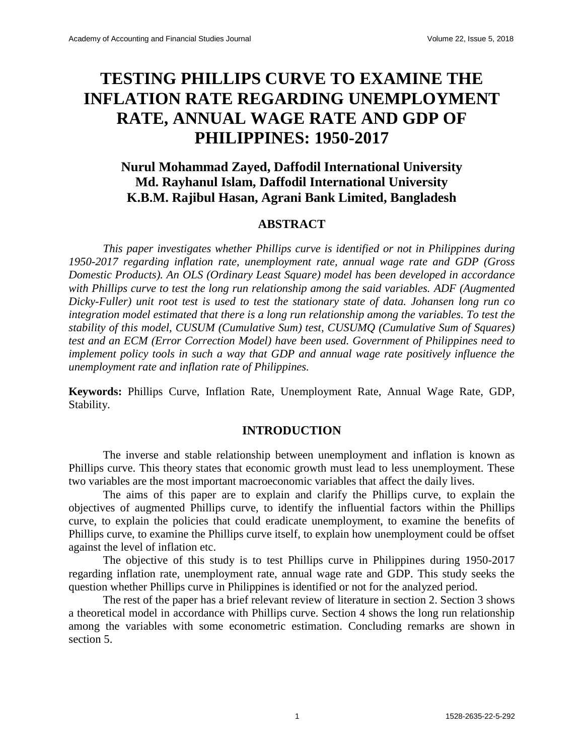# **TESTING PHILLIPS CURVE TO EXAMINE THE INFLATION RATE REGARDING UNEMPLOYMENT RATE, ANNUAL WAGE RATE AND GDP OF PHILIPPINES: 1950-2017**

## **Nurul Mohammad Zayed, Daffodil International University Md. Rayhanul Islam, Daffodil International University K.B.M. Rajibul Hasan, Agrani Bank Limited, Bangladesh**

#### **ABSTRACT**

*This paper investigates whether Phillips curve is identified or not in Philippines during 1950-2017 regarding inflation rate, unemployment rate, annual wage rate and GDP (Gross Domestic Products). An OLS (Ordinary Least Square) model has been developed in accordance with Phillips curve to test the long run relationship among the said variables. ADF (Augmented Dicky-Fuller) unit root test is used to test the stationary state of data. Johansen long run co integration model estimated that there is a long run relationship among the variables. To test the stability of this model, CUSUM (Cumulative Sum) test, CUSUMQ (Cumulative Sum of Squares) test and an ECM (Error Correction Model) have been used. Government of Philippines need to implement policy tools in such a way that GDP and annual wage rate positively influence the unemployment rate and inflation rate of Philippines.* 

**Keywords:** Phillips Curve, Inflation Rate, Unemployment Rate, Annual Wage Rate, GDP, Stability.

## **INTRODUCTION**

The inverse and stable relationship between unemployment and inflation is known as Phillips curve. This theory states that economic growth must lead to less unemployment. These two variables are the most important macroeconomic variables that affect the daily lives.

The aims of this paper are to explain and clarify the Phillips curve, to explain the objectives of augmented Phillips curve, to identify the influential factors within the Phillips curve, to explain the policies that could eradicate unemployment, to examine the benefits of Phillips curve, to examine the Phillips curve itself, to explain how unemployment could be offset against the level of inflation etc.

The objective of this study is to test Phillips curve in Philippines during 1950-2017 regarding inflation rate, unemployment rate, annual wage rate and GDP. This study seeks the question whether Phillips curve in Philippines is identified or not for the analyzed period.

The rest of the paper has a brief relevant review of literature in section 2. Section 3 shows a theoretical model in accordance with Phillips curve. Section 4 shows the long run relationship among the variables with some econometric estimation. Concluding remarks are shown in section 5.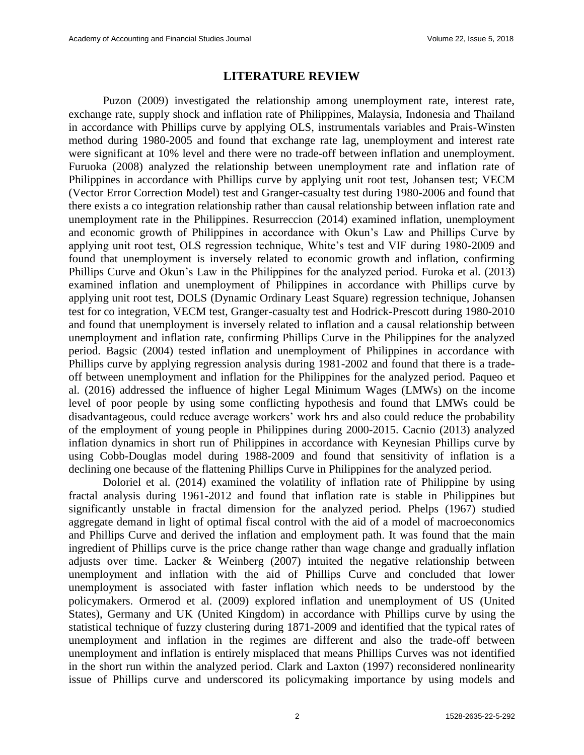#### **LITERATURE REVIEW**

Puzon (2009) investigated the relationship among unemployment rate, interest rate, exchange rate, supply shock and inflation rate of Philippines, Malaysia, Indonesia and Thailand in accordance with Phillips curve by applying OLS, instrumentals variables and Prais-Winsten method during 1980-2005 and found that exchange rate lag, unemployment and interest rate were significant at 10% level and there were no trade-off between inflation and unemployment. Furuoka (2008) analyzed the relationship between unemployment rate and inflation rate of Philippines in accordance with Phillips curve by applying unit root test, Johansen test; VECM (Vector Error Correction Model) test and Granger-casualty test during 1980-2006 and found that there exists a co integration relationship rather than causal relationship between inflation rate and unemployment rate in the Philippines. Resurreccion (2014) examined inflation, unemployment and economic growth of Philippines in accordance with Okun's Law and Phillips Curve by applying unit root test, OLS regression technique, White's test and VIF during 1980-2009 and found that unemployment is inversely related to economic growth and inflation, confirming Phillips Curve and Okun's Law in the Philippines for the analyzed period. Furoka et al. (2013) examined inflation and unemployment of Philippines in accordance with Phillips curve by applying unit root test, DOLS (Dynamic Ordinary Least Square) regression technique, Johansen test for co integration, VECM test, Granger-casualty test and Hodrick-Prescott during 1980-2010 and found that unemployment is inversely related to inflation and a causal relationship between unemployment and inflation rate, confirming Phillips Curve in the Philippines for the analyzed period. Bagsic (2004) tested inflation and unemployment of Philippines in accordance with Phillips curve by applying regression analysis during 1981-2002 and found that there is a tradeoff between unemployment and inflation for the Philippines for the analyzed period. Paqueo et al. (2016) addressed the influence of higher Legal Minimum Wages (LMWs) on the income level of poor people by using some conflicting hypothesis and found that LMWs could be disadvantageous, could reduce average workers' work hrs and also could reduce the probability of the employment of young people in Philippines during 2000-2015. Cacnio (2013) analyzed inflation dynamics in short run of Philippines in accordance with Keynesian Phillips curve by using Cobb-Douglas model during 1988-2009 and found that sensitivity of inflation is a declining one because of the flattening Phillips Curve in Philippines for the analyzed period.

Doloriel et al. (2014) examined the volatility of inflation rate of Philippine by using fractal analysis during 1961-2012 and found that inflation rate is stable in Philippines but significantly unstable in fractal dimension for the analyzed period. Phelps (1967) studied aggregate demand in light of optimal fiscal control with the aid of a model of macroeconomics and Phillips Curve and derived the inflation and employment path. It was found that the main ingredient of Phillips curve is the price change rather than wage change and gradually inflation adjusts over time. Lacker & Weinberg (2007) intuited the negative relationship between unemployment and inflation with the aid of Phillips Curve and concluded that lower unemployment is associated with faster inflation which needs to be understood by the policymakers. Ormerod et al. (2009) explored inflation and unemployment of US (United States), Germany and UK (United Kingdom) in accordance with Phillips curve by using the statistical technique of fuzzy clustering during 1871-2009 and identified that the typical rates of unemployment and inflation in the regimes are different and also the trade-off between unemployment and inflation is entirely misplaced that means Phillips Curves was not identified in the short run within the analyzed period. Clark and Laxton (1997) reconsidered nonlinearity issue of Phillips curve and underscored its policymaking importance by using models and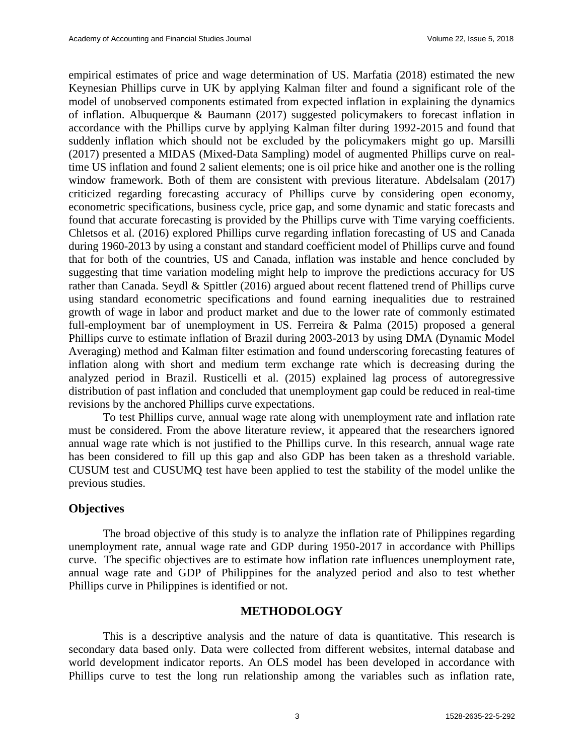empirical estimates of price and wage determination of US. Marfatia (2018) estimated the new Keynesian Phillips curve in UK by applying Kalman filter and found a significant role of the model of unobserved components estimated from expected inflation in explaining the dynamics of inflation. Albuquerque & Baumann (2017) suggested policymakers to forecast inflation in accordance with the Phillips curve by applying Kalman filter during 1992-2015 and found that suddenly inflation which should not be excluded by the policymakers might go up. Marsilli (2017) presented a MIDAS (Mixed-Data Sampling) model of augmented Phillips curve on realtime US inflation and found 2 salient elements; one is oil price hike and another one is the rolling window framework. Both of them are consistent with previous literature. Abdelsalam (2017) criticized regarding forecasting accuracy of Phillips curve by considering open economy, econometric specifications, business cycle, price gap, and some dynamic and static forecasts and found that accurate forecasting is provided by the Phillips curve with Time varying coefficients. Chletsos et al. (2016) explored Phillips curve regarding inflation forecasting of US and Canada during 1960-2013 by using a constant and standard coefficient model of Phillips curve and found that for both of the countries, US and Canada, inflation was instable and hence concluded by suggesting that time variation modeling might help to improve the predictions accuracy for US rather than Canada. Seydl & Spittler (2016) argued about recent flattened trend of Phillips curve using standard econometric specifications and found earning inequalities due to restrained growth of wage in labor and product market and due to the lower rate of commonly estimated full-employment bar of unemployment in US. Ferreira & Palma (2015) proposed a general Phillips curve to estimate inflation of Brazil during 2003-2013 by using DMA (Dynamic Model Averaging) method and Kalman filter estimation and found underscoring forecasting features of inflation along with short and medium term exchange rate which is decreasing during the analyzed period in Brazil. Rusticelli et al. (2015) explained lag process of autoregressive distribution of past inflation and concluded that unemployment gap could be reduced in real-time revisions by the anchored Phillips curve expectations.

To test Phillips curve, annual wage rate along with unemployment rate and inflation rate must be considered. From the above literature review, it appeared that the researchers ignored annual wage rate which is not justified to the Phillips curve. In this research, annual wage rate has been considered to fill up this gap and also GDP has been taken as a threshold variable. CUSUM test and CUSUMQ test have been applied to test the stability of the model unlike the previous studies.

## **Objectives**

The broad objective of this study is to analyze the inflation rate of Philippines regarding unemployment rate, annual wage rate and GDP during 1950-2017 in accordance with Phillips curve. The specific objectives are to estimate how inflation rate influences unemployment rate, annual wage rate and GDP of Philippines for the analyzed period and also to test whether Phillips curve in Philippines is identified or not.

## **METHODOLOGY**

This is a descriptive analysis and the nature of data is quantitative. This research is secondary data based only. Data were collected from different websites, internal database and world development indicator reports. An OLS model has been developed in accordance with Phillips curve to test the long run relationship among the variables such as inflation rate,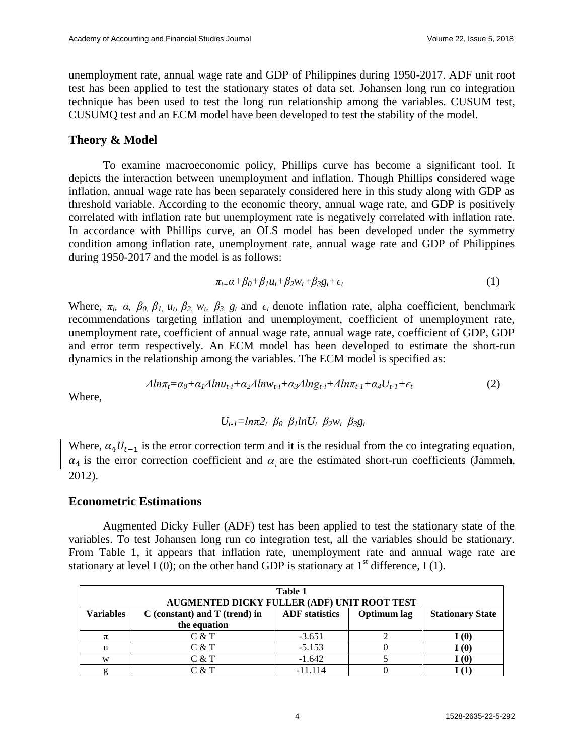unemployment rate, annual wage rate and GDP of Philippines during 1950-2017. ADF unit root test has been applied to test the stationary states of data set. Johansen long run co integration technique has been used to test the long run relationship among the variables. CUSUM test, CUSUMQ test and an ECM model have been developed to test the stability of the model.

## **Theory & Model**

To examine macroeconomic policy, Phillips curve has become a significant tool. It depicts the interaction between unemployment and inflation. Though Phillips considered wage inflation, annual wage rate has been separately considered here in this study along with GDP as threshold variable. According to the economic theory, annual wage rate, and GDP is positively correlated with inflation rate but unemployment rate is negatively correlated with inflation rate. In accordance with Phillips curve, an OLS model has been developed under the symmetry condition among inflation rate, unemployment rate, annual wage rate and GDP of Philippines during 1950-2017 and the model is as follows:

$$
\pi_{t=}\alpha+\beta_0+\beta_1u_t+\beta_2w_t+\beta_3g_t+\epsilon_t\tag{1}
$$

Where,  $\pi_t$ ,  $\alpha$ ,  $\beta_0$ ,  $\beta_1$ ,  $u_t$ ,  $\beta_2$ ,  $w_t$ ,  $\beta_3$ ,  $g_t$  and  $\epsilon_t$  denote inflation rate, alpha coefficient, benchmark recommendations targeting inflation and unemployment, coefficient of unemployment rate, unemployment rate, coefficient of annual wage rate, annual wage rate, coefficient of GDP, GDP and error term respectively. An ECM model has been developed to estimate the short-run dynamics in the relationship among the variables. The ECM model is specified as:

$$
\Delta ln \pi_t = \alpha_0 + \alpha_1 \Delta ln u_{t-i} + \alpha_2 \Delta ln w_{t-i} + \alpha_3 \Delta ln g_{t-i} + \Delta ln \pi_{t-1} + \alpha_4 U_{t-1} + \epsilon_t
$$
\n(2)

Where,

$$
U_{t-1} = \ln \pi 2_t - \beta_0 - \beta_1 \ln U_t - \beta_2 w_t - \beta_3 g_t
$$

Where,  $\alpha_4 U_{t-1}$  is the error correction term and it is the residual from the co integrating equation,  $\alpha_4$  is the error correction coefficient and  $\alpha_i$  are the estimated short-run coefficients (Jammeh, 2012).

## **Econometric Estimations**

Augmented Dicky Fuller (ADF) test has been applied to test the stationary state of the variables. To test Johansen long run co integration test, all the variables should be stationary. From Table 1, it appears that inflation rate, unemployment rate and annual wage rate are stationary at level I (0); on the other hand GDP is stationary at  $1<sup>st</sup>$  difference, I (1).

| Table 1<br>AUGMENTED DICKY FULLER (ADF) UNIT ROOT TEST |                                   |                       |             |                         |  |
|--------------------------------------------------------|-----------------------------------|-----------------------|-------------|-------------------------|--|
| Variables                                              | $C$ (constant) and $T$ (trend) in | <b>ADF</b> statistics | Optimum lag | <b>Stationary State</b> |  |
|                                                        | the equation                      |                       |             |                         |  |
| π                                                      | C & T                             | $-3.651$              |             | (0)                     |  |
| u                                                      | C & T                             | $-5.153$              |             | (0)                     |  |
| W                                                      | C & T                             | $-1.642$              |             | (0)                     |  |
|                                                        | C & T                             | $-11.114$             |             |                         |  |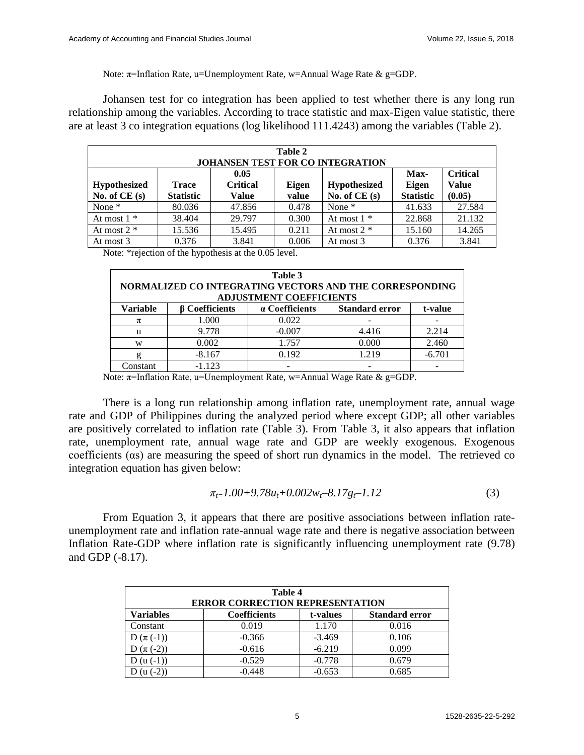Note:  $\pi$ =Inflation Rate, u=Unemployment Rate, w=Annual Wage Rate & g=GDP.

Johansen test for co integration has been applied to test whether there is any long run relationship among the variables. According to trace statistic and max-Eigen value statistic, there are at least 3 co integration equations (log likelihood 111.4243) among the variables (Table 2).

| Table 2<br><b>JOHANSEN TEST FOR CO INTEGRATION</b>                                                                                                                                                            |        |        |       |               |        |                                           |
|---------------------------------------------------------------------------------------------------------------------------------------------------------------------------------------------------------------|--------|--------|-------|---------------|--------|-------------------------------------------|
| 0.05<br>Max-<br><b>Critical</b><br><b>Hypothesized</b><br><b>Hypothesized</b><br>Eigen<br>Eigen<br>Trace<br>No. of $CE(s)$<br><b>Statistic</b><br>No. of $CE(s)$<br><b>Statistic</b><br>value<br><b>Value</b> |        |        |       |               |        | <b>Critical</b><br><b>Value</b><br>(0.05) |
| None $*$                                                                                                                                                                                                      | 80.036 | 47.856 | 0.478 | None $*$      | 41.633 | 27.584                                    |
| At most $1 *$                                                                                                                                                                                                 | 38.404 | 29.797 | 0.300 | At most $1 *$ | 22.868 | 21.132                                    |
| At most $2 *$                                                                                                                                                                                                 | 15.536 | 15.495 | 0.211 | At most $2 *$ | 15.160 | 14.265                                    |
| At most 3                                                                                                                                                                                                     | 0.376  | 3.841  | 0.006 | At most 3     | 0.376  | 3.841                                     |

Note: \*rejection of the hypothesis at the 0.05 level.

| Table 3<br>NORMALIZED CO INTEGRATING VECTORS AND THE CORRESPONDING<br><b>ADJUSTMENT COEFFICIENTS</b> |                       |                                                    |       |          |  |  |
|------------------------------------------------------------------------------------------------------|-----------------------|----------------------------------------------------|-------|----------|--|--|
| <b>Variable</b>                                                                                      | <b>B</b> Coefficients | a Coefficients<br><b>Standard error</b><br>t-value |       |          |  |  |
| π                                                                                                    | 1.000                 | 0.022                                              |       |          |  |  |
| u                                                                                                    | 9.778                 | $-0.007$                                           | 4.416 | 2.214    |  |  |
| W                                                                                                    | 0.002                 | 1.757                                              | 0.000 | 2.460    |  |  |
|                                                                                                      | $-8.167$              | 0.192                                              | 1.219 | $-6.701$ |  |  |
| Constant                                                                                             | $-1.123$              |                                                    |       |          |  |  |

Note: π=Inflation Rate, u=Unemployment Rate, w=Annual Wage Rate & g=GDP.

There is a long run relationship among inflation rate, unemployment rate, annual wage rate and GDP of Philippines during the analyzed period where except GDP; all other variables are positively correlated to inflation rate (Table 3). From Table 3, it also appears that inflation rate, unemployment rate, annual wage rate and GDP are weekly exogenous. Exogenous coefficients (αs) are measuring the speed of short run dynamics in the model. The retrieved co integration equation has given below:

$$
\pi_{t=1.00+9.78u_t+0.002w_t-8.17g_t-1.12\tag{3}
$$

From Equation 3, it appears that there are positive associations between inflation rateunemployment rate and inflation rate-annual wage rate and there is negative association between Inflation Rate-GDP where inflation rate is significantly influencing unemployment rate (9.78) and GDP (-8.17).

| Table 4<br><b>ERROR CORRECTION REPRESENTATION</b> |                     |          |                       |  |  |
|---------------------------------------------------|---------------------|----------|-----------------------|--|--|
| <b>Variables</b>                                  | <b>Coefficients</b> | t-values | <b>Standard error</b> |  |  |
| Constant                                          | 0.019               | 1.170    | 0.016                 |  |  |
| $D(\pi(-1))$                                      | $-0.366$            | $-3.469$ | 0.106                 |  |  |
| D $(\pi(-2))$                                     | $-0.616$            | $-6.219$ | 0.099                 |  |  |
| $(u(-1))$                                         | $-0.529$            | $-0.778$ | 0.679                 |  |  |
|                                                   | $-0.448$            | $-0.653$ | 0.685                 |  |  |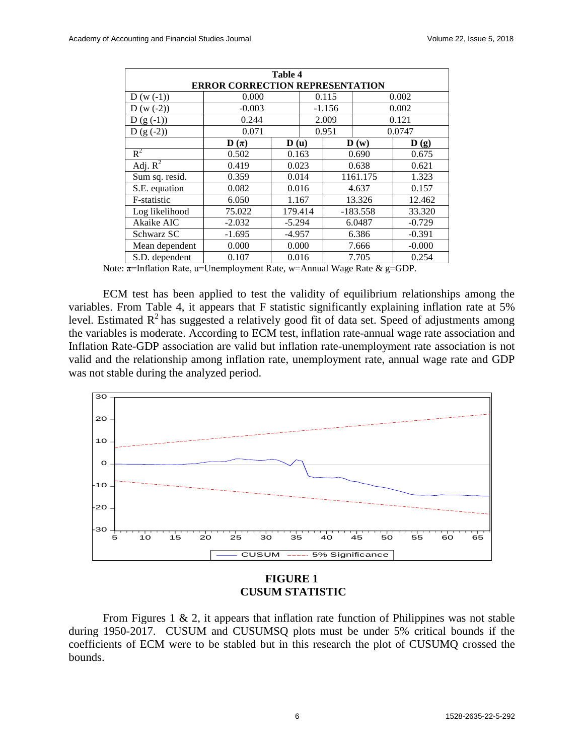| Table 4                                |                      |                          |          |       |                          |                          |  |
|----------------------------------------|----------------------|--------------------------|----------|-------|--------------------------|--------------------------|--|
| <b>ERROR CORRECTION REPRESENTATION</b> |                      |                          |          |       |                          |                          |  |
| $D(w(-1))$                             | 0.000                |                          |          | 0.115 | 0.002                    |                          |  |
| $D(w(-2))$                             | $-0.003$             |                          | $-1.156$ |       | 0.002                    |                          |  |
| $D(g(-1))$                             | 0.244                |                          | 2.009    |       | 0.121                    |                          |  |
| $D(g(-2))$                             | 0.071                |                          |          | 0.951 |                          | 0.0747                   |  |
|                                        | $\mathbf{D}(\pi)$    | $\mathbf{D}(\mathbf{u})$ |          |       | $\mathbf{D}(\mathbf{w})$ | $\mathbf{D}(\mathbf{g})$ |  |
| $R^2$                                  | 0.502                |                          | 0.163    |       | 0.690                    | 0.675                    |  |
| Adj. $R^2$                             | 0.419                | 0.023                    |          | 0.638 |                          | 0.621                    |  |
| Sum sq. resid.                         | 0.359                | 0.014                    |          |       | 1161.175                 | 1.323                    |  |
| S.E. equation                          | 0.082                | 0.016                    |          |       | 4.637                    | 0.157                    |  |
| F-statistic                            | 6.050                | 1.167                    |          |       | 13.326                   | 12.462                   |  |
| Log likelihood                         | 75.022               | 179.414                  |          |       | $-183.558$               | 33.320                   |  |
| Akaike AIC<br>$-2.032$<br>$-5.294$     |                      |                          | 6.0487   |       | $-0.729$                 |                          |  |
| Schwarz SC                             | $-1.695$<br>$-4.957$ |                          |          | 6.386 |                          | $-0.391$                 |  |
| Mean dependent                         | 0.000                | 0.000                    |          | 7.666 |                          | $-0.000$                 |  |
| S.D. dependent                         | 0.107                | 0.016                    |          | 7.705 |                          | 0.254                    |  |

Note:  $\pi$ =Inflation Rate, u=Unemployment Rate, w=Annual Wage Rate & g=GDP.

ECM test has been applied to test the validity of equilibrium relationships among the variables. From Table 4, it appears that F statistic significantly explaining inflation rate at 5% level. Estimated  $\mathbb{R}^2$  has suggested a relatively good fit of data set. Speed of adjustments among the variables is moderate. According to ECM test, inflation rate-annual wage rate association and Inflation Rate-GDP association are valid but inflation rate-unemployment rate association is not valid and the relationship among inflation rate, unemployment rate, annual wage rate and GDP was not stable during the analyzed period.



#### **FIGURE 1 CUSUM STATISTIC**

From Figures 1  $\&$  2, it appears that inflation rate function of Philippines was not stable during 1950-2017. CUSUM and CUSUMSQ plots must be under 5% critical bounds if the coefficients of ECM were to be stabled but in this research the plot of CUSUMQ crossed the bounds.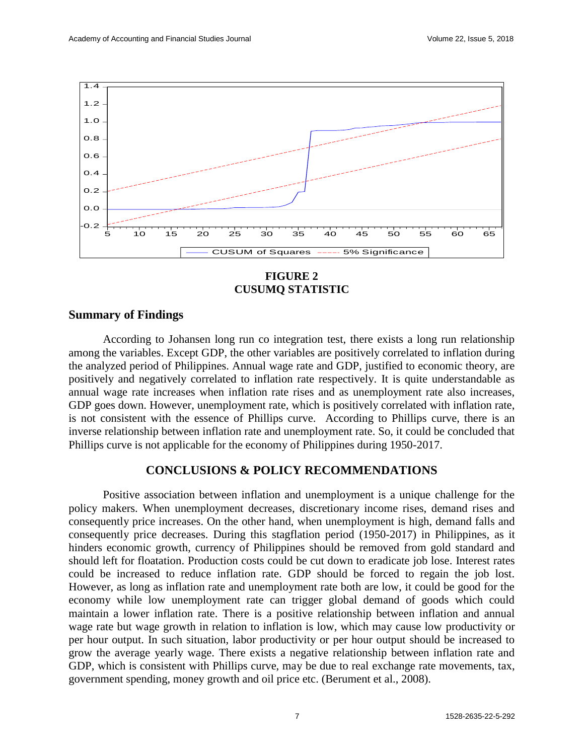

**FIGURE 2 CUSUMQ STATISTIC**

#### **Summary of Findings**

According to Johansen long run co integration test, there exists a long run relationship among the variables. Except GDP, the other variables are positively correlated to inflation during the analyzed period of Philippines. Annual wage rate and GDP, justified to economic theory, are positively and negatively correlated to inflation rate respectively. It is quite understandable as annual wage rate increases when inflation rate rises and as unemployment rate also increases, GDP goes down. However, unemployment rate, which is positively correlated with inflation rate, is not consistent with the essence of Phillips curve. According to Phillips curve, there is an inverse relationship between inflation rate and unemployment rate. So, it could be concluded that Phillips curve is not applicable for the economy of Philippines during 1950-2017.

#### **CONCLUSIONS & POLICY RECOMMENDATIONS**

Positive association between inflation and unemployment is a unique challenge for the policy makers. When unemployment decreases, discretionary income rises, demand rises and consequently price increases. On the other hand, when unemployment is high, demand falls and consequently price decreases. During this stagflation period (1950-2017) in Philippines, as it hinders economic growth, currency of Philippines should be removed from gold standard and should left for floatation. Production costs could be cut down to eradicate job lose. Interest rates could be increased to reduce inflation rate. GDP should be forced to regain the job lost. However, as long as inflation rate and unemployment rate both are low, it could be good for the economy while low unemployment rate can trigger global demand of goods which could maintain a lower inflation rate. There is a positive relationship between inflation and annual wage rate but wage growth in relation to inflation is low, which may cause low productivity or per hour output. In such situation, labor productivity or per hour output should be increased to grow the average yearly wage. There exists a negative relationship between inflation rate and GDP, which is consistent with Phillips curve, may be due to real exchange rate movements, tax, government spending, money growth and oil price etc. (Berument et al., 2008).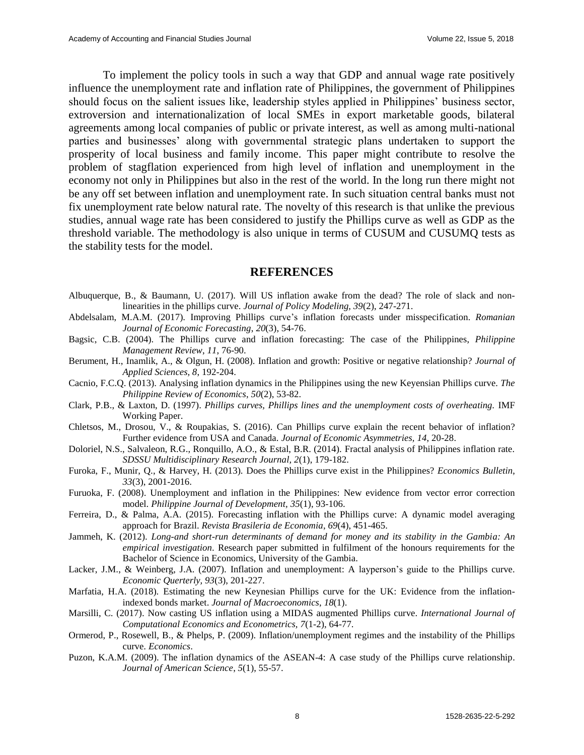To implement the policy tools in such a way that GDP and annual wage rate positively influence the unemployment rate and inflation rate of Philippines, the government of Philippines should focus on the salient issues like, leadership styles applied in Philippines' business sector, extroversion and internationalization of local SMEs in export marketable goods, bilateral agreements among local companies of public or private interest, as well as among multi-national parties and businesses' along with governmental strategic plans undertaken to support the prosperity of local business and family income. This paper might contribute to resolve the problem of stagflation experienced from high level of inflation and unemployment in the economy not only in Philippines but also in the rest of the world. In the long run there might not be any off set between inflation and unemployment rate. In such situation central banks must not fix unemployment rate below natural rate. The novelty of this research is that unlike the previous studies, annual wage rate has been considered to justify the Phillips curve as well as GDP as the threshold variable. The methodology is also unique in terms of CUSUM and CUSUMQ tests as the stability tests for the model.

#### **REFERENCES**

- Albuquerque, B., & Baumann, U. (2017). Will US inflation awake from the dead? The role of slack and nonlinearities in the phillips curve. *Journal of Policy Modeling, 39*(2), 247-271.
- Abdelsalam, M.A.M. (2017). Improving Phillips curve's inflation forecasts under misspecification. *Romanian Journal of Economic Forecasting*, *20*(3), 54-76.
- Bagsic, C.B. (2004). The Phillips curve and inflation forecasting: The case of the Philippines, *Philippine Management Review*, *11*, 76-90.
- Berument, H., Inamlik, A., & Olgun, H. (2008). Inflation and growth: Positive or negative relationship? *Journal of Applied Sciences, 8*, 192-204.
- Cacnio, F.C.Q. (2013). Analysing inflation dynamics in the Philippines using the new Keyensian Phillips curve. *The Philippine Review of Economics*, *50*(2), 53-82.
- Clark, P.B., & Laxton, D. (1997). *Phillips curves, Phillips lines and the unemployment costs of overheating.* IMF Working Paper.
- Chletsos, M., Drosou, V., & Roupakias, S. (2016). Can Phillips curve explain the recent behavior of inflation? Further evidence from USA and Canada. *Journal of Economic Asymmetries, 14*, 20-28.
- Doloriel, N.S., Salvaleon, R.G., Ronquillo, A.O., & Estal, B.R. (2014). Fractal analysis of Philippines inflation rate. *SDSSU Multidisciplinary Research Journal, 2*(1), 179-182.
- Furoka, F., Munir, Q., & Harvey, H. (2013). Does the Phillips curve exist in the Philippines? *Economics Bulletin*, *33*(3), 2001-2016.
- Furuoka, F. (2008). Unemployment and inflation in the Philippines: New evidence from vector error correction model. *Philippine Journal of Development, 35*(1), 93-106.
- Ferreira, D., & Palma, A.A. (2015). Forecasting inflation with the Phillips curve: A dynamic model averaging approach for Brazil. *Revista Brasileria de Economia*, *69*(4), 451-465.
- Jammeh, K. (2012). *Long-and short-run determinants of demand for money and its stability in the Gambia: An empirical investigation*. Research paper submitted in fulfilment of the honours requirements for the Bachelor of Science in Economics, University of the Gambia.
- Lacker, J.M., & Weinberg, J.A. (2007). Inflation and unemployment: A layperson's guide to the Phillips curve. *Economic Querterly, 93*(3), 201-227.
- Marfatia, H.A. (2018). Estimating the new Keynesian Phillips curve for the UK: Evidence from the inflationindexed bonds market. *Journal of Macroeconomics*, *18*(1).
- Marsilli, C. (2017). Now casting US inflation using a MIDAS augmented Phillips curve. *International Journal of Computational Economics and Econometrics, 7*(1-2), 64-77.
- Ormerod, P., Rosewell, B., & Phelps, P. (2009). Inflation/unemployment regimes and the instability of the Phillips curve. *Economics*.
- Puzon, K.A.M. (2009). The inflation dynamics of the ASEAN-4: A case study of the Phillips curve relationship. *Journal of American Science*, *5*(1), 55-57.